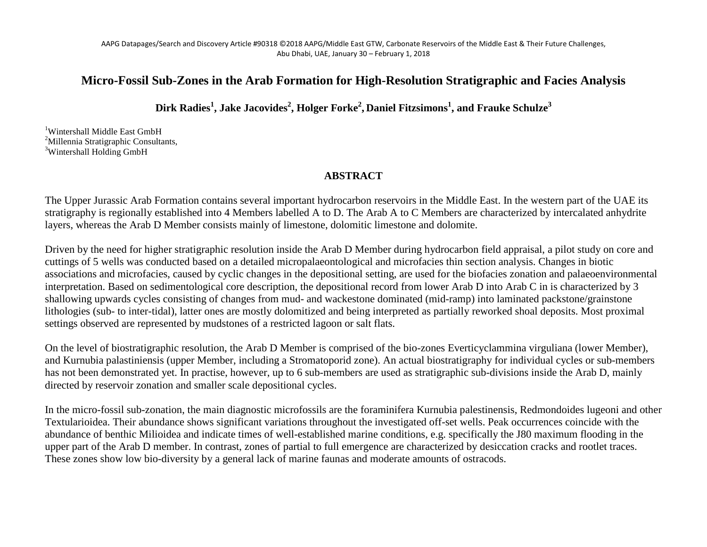## **Micro-Fossil Sub-Zones in the Arab Formation for High-Resolution Stratigraphic and Facies Analysis**

**Dirk Radies<sup>1</sup> , Jake Jacovides<sup>2</sup> , Holger Forke2 , Daniel Fitzsimons<sup>1</sup> , and Frauke Schulze3** 

<sup>1</sup>Wintershall Middle East GmbH <sup>2</sup>Millennia Stratigraphic Consultants, <sup>3</sup>Wintershall Holding GmbH

## **ABSTRACT**

The Upper Jurassic Arab Formation contains several important hydrocarbon reservoirs in the Middle East. In the western part of the UAE its stratigraphy is regionally established into 4 Members labelled A to D. The Arab A to C Members are characterized by intercalated anhydrite layers, whereas the Arab D Member consists mainly of limestone, dolomitic limestone and dolomite.

Driven by the need for higher stratigraphic resolution inside the Arab D Member during hydrocarbon field appraisal, a pilot study on core and cuttings of 5 wells was conducted based on a detailed micropalaeontological and microfacies thin section analysis. Changes in biotic associations and microfacies, caused by cyclic changes in the depositional setting, are used for the biofacies zonation and palaeoenvironmental interpretation. Based on sedimentological core description, the depositional record from lower Arab D into Arab C in is characterized by 3 shallowing upwards cycles consisting of changes from mud- and wackestone dominated (mid-ramp) into laminated packstone/grainstone lithologies (sub- to inter-tidal), latter ones are mostly dolomitized and being interpreted as partially reworked shoal deposits. Most proximal settings observed are represented by mudstones of a restricted lagoon or salt flats.

On the level of biostratigraphic resolution, the Arab D Member is comprised of the bio-zones Everticyclammina virguliana (lower Member), and Kurnubia palastiniensis (upper Member, including a Stromatoporid zone). An actual biostratigraphy for individual cycles or sub-members has not been demonstrated yet. In practise, however, up to 6 sub-members are used as stratigraphic sub-divisions inside the Arab D, mainly directed by reservoir zonation and smaller scale depositional cycles.

In the micro-fossil sub-zonation, the main diagnostic microfossils are the foraminifera Kurnubia palestinensis, Redmondoides lugeoni and other Textularioidea. Their abundance shows significant variations throughout the investigated off-set wells. Peak occurrences coincide with the abundance of benthic Milioidea and indicate times of well-established marine conditions, e.g. specifically the J80 maximum flooding in the upper part of the Arab D member. In contrast, zones of partial to full emergence are characterized by desiccation cracks and rootlet traces. These zones show low bio-diversity by a general lack of marine faunas and moderate amounts of ostracods.